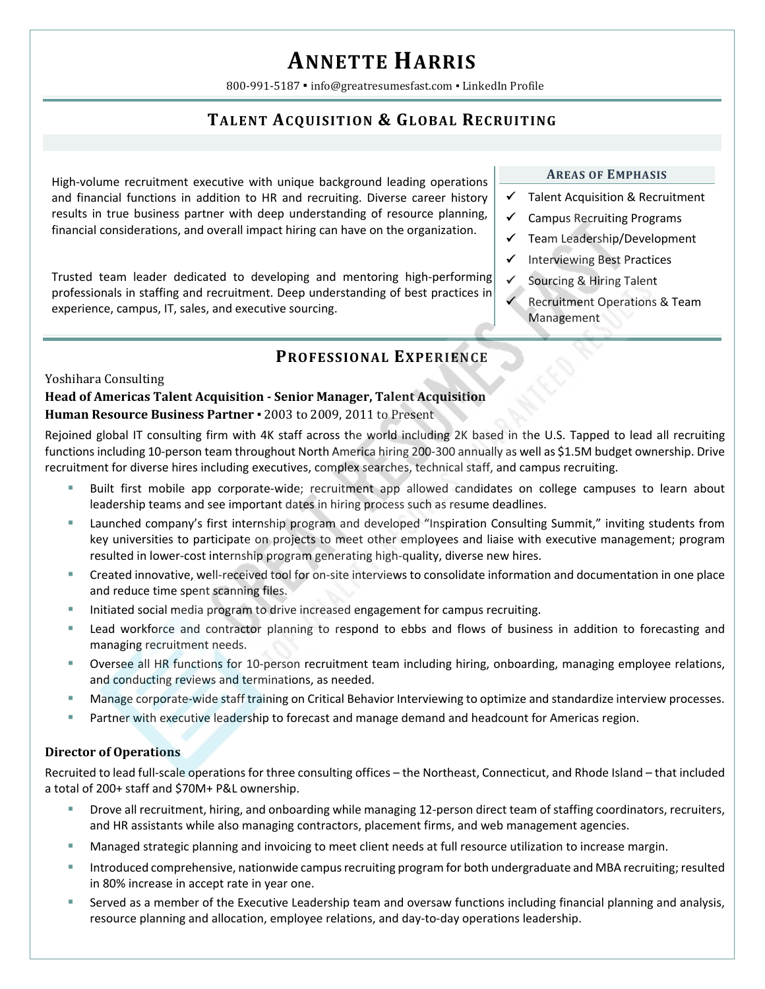# **ANNETTE HARRIS**

800-991-5187 · info@greatresumesfast.com · LinkedIn Profile

## **TALENT ACQUISITION & GLOBAL RECRUITING**

High-volume recruitment executive with unique background leading operations and financial functions in addition to HR and recruiting. Diverse career history results in true business partner with deep understanding of resource planning, financial considerations, and overall impact hiring can have on the organization.

Trusted team leader dedicated to developing and mentoring high‐performing professionals in staffing and recruitment. Deep understanding of best practices in experience, campus, IT, sales, and executive sourcing.

## **PROFESSIONAL EXPERIENCE**

#### Yoshihara Consulting

### **Head of Americas Talent Acquisition ‐ Senior Manager, Talent Acquisition Human Resource Business Partner** ▪ 2003 to 2009, 2011 to Present

Rejoined global IT consulting firm with 4K staff across the world including 2K based in the U.S. Tapped to lead all recruiting functions including 10‐person team throughout North America hiring 200‐300 annually as well as \$1.5M budget ownership. Drive recruitment for diverse hires including executives, complex searches, technical staff, and campus recruiting.

- Built first mobile app corporate-wide; recruitment app allowed candidates on college campuses to learn about leadership teams and see important dates in hiring process such as resume deadlines.
- Launched company's first internship program and developed "Inspiration Consulting Summit," inviting students from key universities to participate on projects to meet other employees and liaise with executive management; program resulted in lower‐cost internship program generating high‐quality, diverse new hires.
- Created innovative, well‐received tool for on‐site interviews to consolidate information and documentation in one place and reduce time spent scanning files.
- Initiated social media program to drive increased engagement for campus recruiting.
- Lead workforce and contractor planning to respond to ebbs and flows of business in addition to forecasting and managing recruitment needs.
- Oversee all HR functions for 10‐person recruitment team including hiring, onboarding, managing employee relations, and conducting reviews and terminations, as needed.
- Manage corporate‐wide staff training on Critical Behavior Interviewing to optimize and standardize interview processes.
- Partner with executive leadership to forecast and manage demand and headcount for Americas region.

## **Director of Operations**

Recruited to lead full‐scale operations for three consulting offices – the Northeast, Connecticut, and Rhode Island – that included a total of 200+ staff and \$70M+ P&L ownership.

- Drove all recruitment, hiring, and onboarding while managing 12‐person direct team of staffing coordinators, recruiters, and HR assistants while also managing contractors, placement firms, and web management agencies.
- Managed strategic planning and invoicing to meet client needs at full resource utilization to increase margin.
- Introduced comprehensive, nationwide campus recruiting program for both undergraduate and MBA recruiting; resulted in 80% increase in accept rate in year one.
- Served as a member of the Executive Leadership team and oversaw functions including financial planning and analysis, resource planning and allocation, employee relations, and day‐to‐day operations leadership.

#### **AREAS OF EMPHASIS**

- $\checkmark$  Talent Acquisition & Recruitment
- $\checkmark$  Campus Recruiting Programs
- $\checkmark$  Team Leadership/Development
- $\checkmark$  Interviewing Best Practices
- $\checkmark$  Sourcing & Hiring Talent
- Recruitment Operations & Team Management